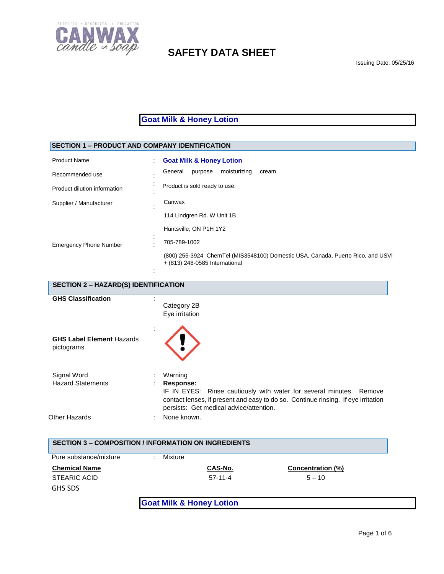

**Goat Milk & Honey Lotion**

# **SECTION 1 – PRODUCT AND COMPANY IDENTIFICATION**

| <b>Product Name</b>           | <b>Goat Milk &amp; Honey Lotion</b>                                                                               |
|-------------------------------|-------------------------------------------------------------------------------------------------------------------|
| Recommended use               | moisturizing<br>General<br>purpose<br>cream                                                                       |
| Product dilution information  | Product is sold ready to use.                                                                                     |
| Supplier / Manufacturer       | Canwax                                                                                                            |
|                               | 114 Lindgren Rd. W Unit 1B                                                                                        |
|                               | Huntsville, ON P1H 1Y2                                                                                            |
| <b>Emergency Phone Number</b> | 705-789-1002                                                                                                      |
|                               | (800) 255-3924 ChemTel (MIS3548100) Domestic USA, Canada, Puerto Rico, and USVI<br>+ (813) 248-0585 International |

| <b>SECTION 2 - HAZARD(S) IDENTIFICATION</b>    |                                                                                                                                                                                                                             |  |
|------------------------------------------------|-----------------------------------------------------------------------------------------------------------------------------------------------------------------------------------------------------------------------------|--|
| <b>GHS Classification</b>                      | Category 2B<br>Eye irritation                                                                                                                                                                                               |  |
| <b>GHS Label Element Hazards</b><br>pictograms |                                                                                                                                                                                                                             |  |
| Signal Word<br><b>Hazard Statements</b>        | Warning<br>Response:<br>IF IN EYES: Rinse cautiously with water for several minutes. Remove<br>contact lenses, if present and easy to do so. Continue rinsing. If eye irritation<br>persists: Get medical advice/attention. |  |
| Other Hazards                                  | None known.                                                                                                                                                                                                                 |  |

| <b>SECTION 3 - COMPOSITION / INFORMATION ON INGREDIENTS</b> |                                     |           |                   |
|-------------------------------------------------------------|-------------------------------------|-----------|-------------------|
| Pure substance/mixture                                      | Mixture                             |           |                   |
| <b>Chemical Name</b>                                        |                                     | CAS-No.   | Concentration (%) |
| STEARIC ACID                                                |                                     | $57-11-4$ | $5 - 10$          |
| <b>GHS SDS</b>                                              |                                     |           |                   |
|                                                             | <b>Goat Milk &amp; Honey Lotion</b> |           |                   |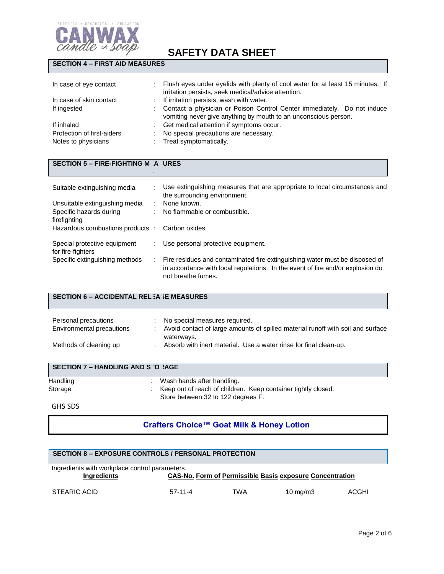

## **SECTION 4 – FIRST AID MEASURES**

| In case of eye contact     | Flush eyes under eyelids with plenty of cool water for at least 15 minutes. If<br>irritation persists, seek medical/advice attention.      |
|----------------------------|--------------------------------------------------------------------------------------------------------------------------------------------|
| In case of skin contact    | If irritation persists, wash with water.                                                                                                   |
| If ingested                | Contact a physician or Poison Control Center immediately. Do not induce<br>vomiting never give anything by mouth to an unconscious person. |
| If inhaled                 | Get medical attention if symptoms occur.                                                                                                   |
| Protection of first-aiders | No special precautions are necessary.                                                                                                      |
| Notes to physicians        | Treat symptomatically.                                                                                                                     |

#### **SECTION 5 – FIRE-FIGHTING M A URES**

 $\mathbf{S}$ 

| Suitable extinguishing media                      | Use extinguishing measures that are appropriate to local circumstances and<br>the surrounding environment.                                                                          |
|---------------------------------------------------|-------------------------------------------------------------------------------------------------------------------------------------------------------------------------------------|
| Unsuitable extinguishing media                    | None known.                                                                                                                                                                         |
| Specific hazards during<br>firefighting           | No flammable or combustible.                                                                                                                                                        |
| Hazardous combustions products:                   | Carbon oxides                                                                                                                                                                       |
| Special protective equipment<br>for fire-fighters | Use personal protective equipment.                                                                                                                                                  |
| Specific extinguishing methods                    | Fire residues and contaminated fire extinguishing water must be disposed of<br>in accordance with local regulations. In the event of fire and/or explosion do<br>not breathe fumes. |

## **SECTION 6 – ACCIDENTAL REL : A JE MEASURES**

| Personal precautions<br>Environmental precautions | No special measures required.<br>Avoid contact of large amounts of spilled material runoff with soil and surface |
|---------------------------------------------------|------------------------------------------------------------------------------------------------------------------|
| Methods of cleaning up                            | waterways.<br>Absorb with inert material. Use a water rinse for final clean-up.                                  |

| SECTION 7 – HANDLING AND STORAGE |                                                                                                     |  |  |
|----------------------------------|-----------------------------------------------------------------------------------------------------|--|--|
| Handling                         | Wash hands after handling.                                                                          |  |  |
| Storage                          | Keep out of reach of children. Keep container tightly closed.<br>Store between 32 to 122 degrees F. |  |  |
| $\sim$                           |                                                                                                     |  |  |

#### GHS SDS

# **Crafters Choice™ Goat Milk & Honey Lotion**

#### **SECTION 8 – EXPOSURE CONTROLS / PERSONAL PROTECTION**

| Ingredients with workplace control parameters. |           |                                                                 |             |       |
|------------------------------------------------|-----------|-----------------------------------------------------------------|-------------|-------|
| Ingredients                                    |           | <b>CAS-No. Form of Permissible Basis exposure Concentration</b> |             |       |
| STEARIC ACID                                   | $57-11-4$ | TWA                                                             | 10 mg/m $3$ | ACGHI |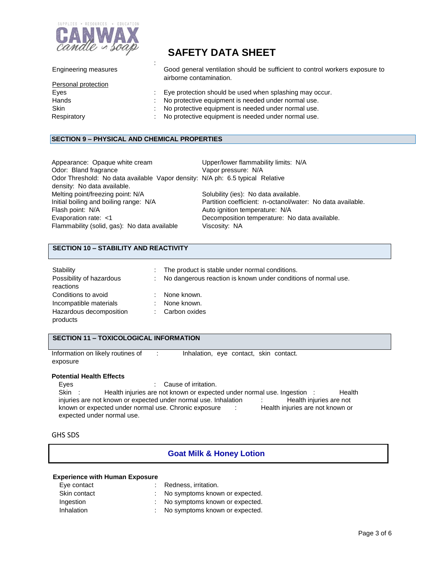

|  | <b>SAFETY DATA SHEET</b> |
|--|--------------------------|
|--|--------------------------|

| Good general ventilation should be sufficient to control workers exposure to |
|------------------------------------------------------------------------------|
|                                                                              |
|                                                                              |
|                                                                              |
|                                                                              |
|                                                                              |
|                                                                              |
|                                                                              |

#### **SECTION 9 – PHYSICAL AND CHEMICAL PROPERTIES**

:

| Upper/lower flammability limits: N/A                                          |
|-------------------------------------------------------------------------------|
| Vapor pressure: N/A                                                           |
| Odor Threshold: No data available Vapor density: N/A ph: 6.5 typical Relative |
|                                                                               |
| Solubility (ies): No data available.                                          |
| Partition coefficient: n-octanol/water: No data available.                    |
| Auto ignition temperature: N/A                                                |
| Decomposition temperature: No data available.                                 |
| Viscosity: NA                                                                 |
|                                                                               |

## **SECTION 10 – STABILITY AND REACTIVITY**

| Stability                |     | : The product is stable under normal conditions.               |
|--------------------------|-----|----------------------------------------------------------------|
| Possibility of hazardous |     | No dangerous reaction is known under conditions of normal use. |
| reactions                |     |                                                                |
| Conditions to avoid      | t.  | None known.                                                    |
| Incompatible materials   | ÷.  | None known.                                                    |
| Hazardous decomposition  | t i | Carbon oxides                                                  |
| products                 |     |                                                                |

## **SECTION 11 – TOXICOLOGICAL INFORMATION**

Information on likely routines of : Inhalation, eye contact, skin contact. exposure

#### **Potential Health Effects**

Eyes : Cause of irritation. Skin : Health injuries are not known or expected under normal use. Ingestion : Health injuries are not known or expected under normal use. Inhalation : Health injuries are not known or expected under normal use. Chronic exposure : Health injuries are not known or known or expected under normal use. Chronic exposure : expected under normal use.

GHS SDS

## **Goat Milk & Honey Lotion**

#### **Experience with Human Exposure**

| Eye contact  | : Redness, irritation.           |
|--------------|----------------------------------|
| Skin contact | : No symptoms known or expected. |
| Ingestion    | : No symptoms known or expected. |
| Inhalation   | : No symptoms known or expected. |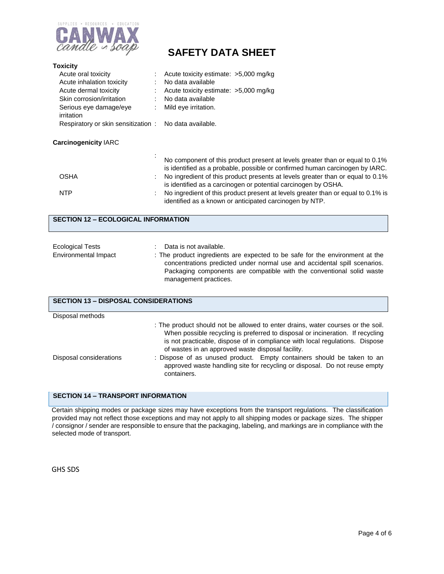

| <b>Toxicity</b>                                                                           |                                                                                                                                                                                                                                                                                                                                                                                  |  |  |  |  |
|-------------------------------------------------------------------------------------------|----------------------------------------------------------------------------------------------------------------------------------------------------------------------------------------------------------------------------------------------------------------------------------------------------------------------------------------------------------------------------------|--|--|--|--|
| Acute oral toxicity                                                                       | Acute toxicity estimate: >5,000 mg/kg                                                                                                                                                                                                                                                                                                                                            |  |  |  |  |
| Acute inhalation toxicity                                                                 | No data available                                                                                                                                                                                                                                                                                                                                                                |  |  |  |  |
| Acute dermal toxicity                                                                     | Acute toxicity estimate: >5,000 mg/kg                                                                                                                                                                                                                                                                                                                                            |  |  |  |  |
| Skin corrosion/irritation                                                                 | No data available                                                                                                                                                                                                                                                                                                                                                                |  |  |  |  |
| Serious eye damage/eye<br>irritation                                                      | Mild eye irritation.                                                                                                                                                                                                                                                                                                                                                             |  |  |  |  |
| Respiratory or skin sensitization:                                                        | No data available.                                                                                                                                                                                                                                                                                                                                                               |  |  |  |  |
| <b>Carcinogenicity IARC</b>                                                               |                                                                                                                                                                                                                                                                                                                                                                                  |  |  |  |  |
|                                                                                           | No component of this product present at levels greater than or equal to 0.1%<br>is identified as a probable, possible or confirmed human carcinogen by IARC.                                                                                                                                                                                                                     |  |  |  |  |
| <b>OSHA</b>                                                                               | No ingredient of this product presents at levels greater than or equal to 0.1%<br>is identified as a carcinogen or potential carcinogen by OSHA.                                                                                                                                                                                                                                 |  |  |  |  |
| <b>NTP</b>                                                                                | No ingredient of this product present at levels greater than or equal to 0.1% is<br>identified as a known or anticipated carcinogen by NTP.                                                                                                                                                                                                                                      |  |  |  |  |
| <b>SECTION 12 - ECOLOGICAL INFORMATION</b>                                                |                                                                                                                                                                                                                                                                                                                                                                                  |  |  |  |  |
| <b>Ecological Tests</b>                                                                   | Data is not available.                                                                                                                                                                                                                                                                                                                                                           |  |  |  |  |
| <b>Environmental Impact</b>                                                               | : The product ingredients are expected to be safe for the environment at the<br>concentrations predicted under normal use and accidental spill scenarios.<br>Packaging components are compatible with the conventional solid waste<br>management practices.                                                                                                                      |  |  |  |  |
| <b>SECTION 13 - DISPOSAL CONSIDERATIONS</b>                                               |                                                                                                                                                                                                                                                                                                                                                                                  |  |  |  |  |
| Disposal methods                                                                          |                                                                                                                                                                                                                                                                                                                                                                                  |  |  |  |  |
| Disposal considerations                                                                   | : The product should not be allowed to enter drains, water courses or the soil.<br>When possible recycling is preferred to disposal or incineration. If recycling<br>is not practicable, dispose of in compliance with local regulations. Dispose<br>of wastes in an approved waste disposal facility.<br>: Dispose of as unused product. Empty containers should be taken to an |  |  |  |  |
| approved waste handling site for recycling or disposal. Do not reuse empty<br>containers. |                                                                                                                                                                                                                                                                                                                                                                                  |  |  |  |  |

### **SECTION 14 – TRANSPORT INFORMATION**

Certain shipping modes or package sizes may have exceptions from the transport regulations. The classification provided may not reflect those exceptions and may not apply to all shipping modes or package sizes. The shipper / consignor / sender are responsible to ensure that the packaging, labeling, and markings are in compliance with the selected mode of transport.

GHS SDS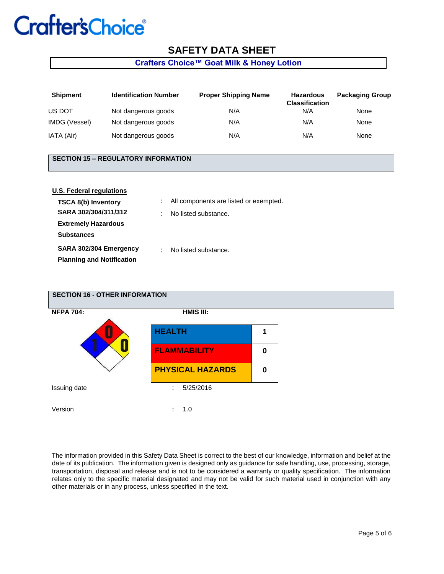# **Crafter's Choice®**

# **SAFETY DATA SHEET**

## **Crafters Choice™ Goat Milk & Honey Lotion**

| <b>Shipment</b> | <b>Identification Number</b> | <b>Proper Shipping Name</b> | <b>Hazardous</b><br><b>Classification</b> | <b>Packaging Group</b> |
|-----------------|------------------------------|-----------------------------|-------------------------------------------|------------------------|
| US DOT          | Not dangerous goods          | N/A                         | N/A                                       | None                   |
| IMDG (Vessel)   | Not dangerous goods          | N/A                         | N/A                                       | None                   |
| IATA (Air)      | Not dangerous goods          | N/A                         | N/A                                       | None                   |

#### **SECTION 15 – REGULATORY INFORMATION**

| <b>U.S. Federal regulations</b>  |                      |                                        |
|----------------------------------|----------------------|----------------------------------------|
| TSCA 8(b) Inventory              |                      | All components are listed or exempted. |
| SARA 302/304/311/312             |                      | No listed substance.                   |
| <b>Extremely Hazardous</b>       |                      |                                        |
| <b>Substances</b>                |                      |                                        |
| SARA 302/304 Emergency           | $\ddot{\phantom{a}}$ | No listed substance.                   |
| <b>Planning and Notification</b> |                      |                                        |



The information provided in this Safety Data Sheet is correct to the best of our knowledge, information and belief at the date of its publication. The information given is designed only as guidance for safe handling, use, processing, storage, transportation, disposal and release and is not to be considered a warranty or quality specification. The information relates only to the specific material designated and may not be valid for such material used in conjunction with any other materials or in any process, unless specified in the text.